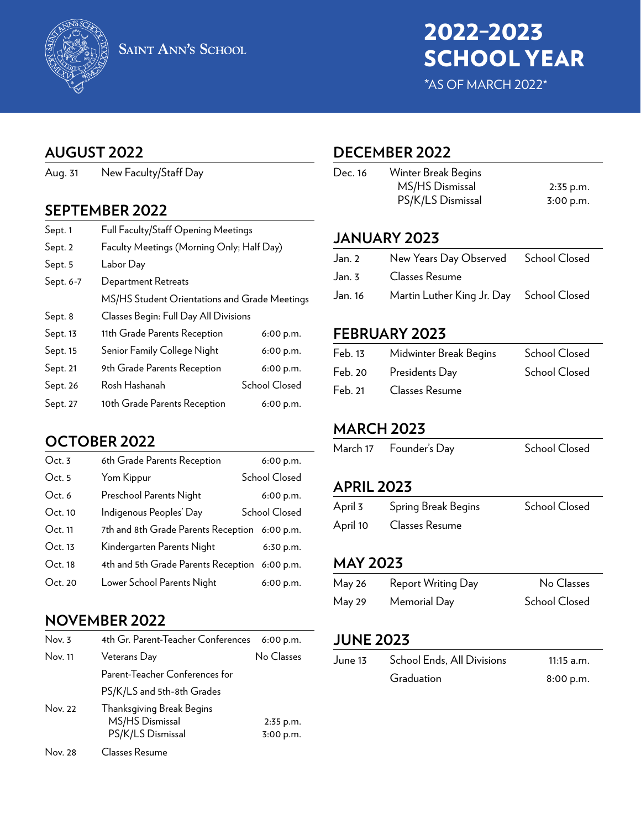

# 2022–2023 SCHOOL YEAR

\*AS OF MARCH 2022\*

## **AUGUST 2022**

Aug. 31 New Faculty/Staff Day

## **SEPTEMBER 2022**

| Sept. 1   | Full Faculty/Staff Opening Meetings           |                      |
|-----------|-----------------------------------------------|----------------------|
| Sept. 2   | Faculty Meetings (Morning Only; Half Day)     |                      |
| Sept. 5   | Labor Day                                     |                      |
| Sept. 6-7 | Department Retreats                           |                      |
|           | MS/HS Student Orientations and Grade Meetings |                      |
| Sept. 8   | Classes Begin: Full Day All Divisions         |                      |
| Sept. 13  | 11th Grade Parents Reception                  | 6:00 p.m.            |
| Sept. 15  | Senior Family College Night                   | 6:00 p.m.            |
| Sept. 21  | 9th Grade Parents Reception                   | 6:00 p.m.            |
| Sept. 26  | Rosh Hashanah                                 | <b>School Closed</b> |
| Sept. 27  | 10th Grade Parents Reception                  | 6:00 p.m.            |

## **OCTOBER 2022**

| Oct.3   | 6th Grade Parents Reception                   | 6:00 p.m.     |
|---------|-----------------------------------------------|---------------|
| Oct.5   | Yom Kippur                                    | School Closed |
| Oct. 6  | Preschool Parents Night                       | 6:00 p.m.     |
| Oct.10  | Indigenous Peoples' Day                       | School Closed |
| Oct.11  | 7th and 8th Grade Parents Reception 6:00 p.m. |               |
| Oct. 13 | Kindergarten Parents Night                    | 6:30 p.m.     |
| Oct. 18 | 4th and 5th Grade Parents Reception           | 6:00 p.m.     |
| Oct.20  | Lower School Parents Night                    | 6:00 p.m.     |

## **NOVEMBER 2022**

| Nov. 3  | 4th Gr. Parent-Teacher Conferences                                | 6:00 p.m.              |
|---------|-------------------------------------------------------------------|------------------------|
| Nov. 11 | Veterans Day                                                      | No Classes             |
|         | Parent-Teacher Conferences for                                    |                        |
|         | PS/K/LS and 5th-8th Grades                                        |                        |
| Nov. 22 | Thanksgiving Break Begins<br>MS/HS Dismissal<br>PS/K/LS Dismissal | 2:35 p.m.<br>3:00 p.m. |
| Nov. 28 | Classes Resume                                                    |                        |

## **DECEMBER 2022**

| Dec. 16 | Winter Break Begins |             |
|---------|---------------------|-------------|
|         | MS/HS Dismissal     | $2:35$ p.m. |
|         | PS/K/LS Dismissal   | 3:00 p.m.   |
|         |                     |             |

## **JANUARY 2023**

| Jan. 2 Mew Years Day Observed School Closed      |  |
|--------------------------------------------------|--|
| Jan. 3 Classes Resume                            |  |
| Jan. 16 Martin Luther King Jr. Day School Closed |  |

## **FEBRUARY 2023**

| Feb. 13 | Midwinter Break Begins | <b>School Closed</b> |
|---------|------------------------|----------------------|
| Feb. 20 | Presidents Day         | <b>School Closed</b> |
| Feb. 21 | Classes Resume         |                      |

## **MARCH 2023**

| March 17<br>Founder's Day | <b>School Closed</b> |
|---------------------------|----------------------|
|---------------------------|----------------------|

## **APRIL 2023**

| April 3  | Spring Break Begins | <b>School Closed</b> |
|----------|---------------------|----------------------|
| April 10 | Classes Resume      |                      |

## **MAY 2023**

| <b>May 26</b> | Report Writing Day | No Classes           |
|---------------|--------------------|----------------------|
| May 29        | Memorial Day       | <b>School Closed</b> |

## **JUNE 2023**

| June 13 | School Ends, All Divisions | $11:15$ a.m. |
|---------|----------------------------|--------------|
|         | Graduation                 | 8:00 p.m.    |